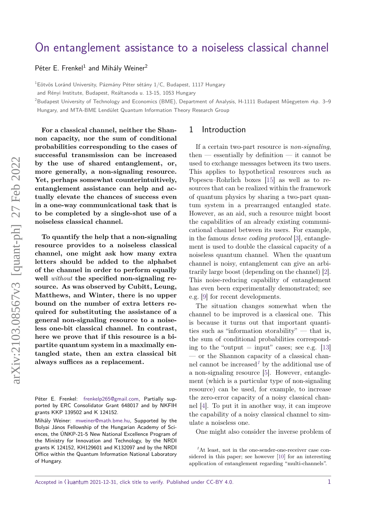# [On entanglement assistance to a noiseless classical channel](https://quantum-journal.org/?s=On%20entanglement%20assistance%20to%20a%20noiseless%20classical%20channel&reason=title-click)

[Péter E. Frenkel](https://orcid.org/0000-0003-2672-8772)<sup>1</sup> and [Mihály Weiner](https://orcid.org/)<sup>2</sup>

 $1$ Eötvös Loránd University, Pázmány Péter sétány  $1/C$ , Budapest, 1117 Hungary

and Rényi Institute, Budapest, Reáltanoda u. 13-15, 1053 Hungary

<sup>2</sup>Budapest University of Technology and Economics (BME), Department of Analysis, H-1111 Budapest Műegyetem rkp. 3–9 Hungary, and MTA-BME Lendület Quantum Information Theory Research Group

**For a classical channel, neither the Shannon capacity, nor the sum of conditional probabilities corresponding to the cases of successful transmission can be increased by the use of shared entanglement, or, more generally, a non-signaling resource. Yet, perhaps somewhat counterintuitively, entanglement assistance can help and actually elevate the chances of success even in a one-way communicational task that is to be completed by a single-shot use of a noiseless classical channel.**

**To quantify the help that a non-signaling resource provides to a noiseless classical channel, one might ask how many extra letters should be added to the alphabet of the channel in order to perform equally well** *without* **the specified non-signaling resource. As was observed by Cubitt, Leung, Matthews, and Winter, there is no upper bound on the number of extra letters required for substituting the assistance of a general non-signaling resource to a noiseless one-bit classical channel. In contrast, here we prove that if this resource is a bipartite quantum system in a maximally entangled state, then an extra classical bit always suffices as a replacement.**

#### 1 Introduction

If a certain two-part resource is *non-signaling*,  $then$  — essentially by definition — it cannot be used to exchange messages between its two users. This applies to hypothetical resources such as Popescu–Rohrlich boxes [\[15\]](#page-8-0) as well as to resources that can be realized within the framework of quantum physics by sharing a two-part quantum system in a prearranged entangled state. However, as an aid, such a resource might boost the capabilities of an already existing communicational channel between its users. For example, in the famous *dense coding protocol* [\[3\]](#page-8-1), entanglement is used to double the classical capacity of a noiseless quantum channel. When the quantum channel is noisy, entanglement can give an arbitrarily large boost (depending on the channel) [\[2\]](#page-7-0). This noise-reducing capability of entanglement has even been experimentally demonstrated; see e.g. [\[9\]](#page-8-2) for recent developments.

The situation changes somewhat when the channel to be improved is a classical one. This is because it turns out that important quantities such as "information storability" — that is, the sum of conditional probabilities corresponding to the "output  $=$  input" cases; see e.g. [\[13\]](#page-8-3) — or the Shannon capacity of a classical channel cannot be increased*[1](#page-0-0)* by the additional use of a non-signaling resource [\[5\]](#page-8-4). However, entanglement (which is a particular type of non-signaling resource) can be used, for example, to increase the zero-error capacity of a noisy classical channel [\[4\]](#page-8-5). To put it in another way, it can improve the capability of a noisy classical channel to simulate a noiseless one.

One might also consider the inverse problem of

<span id="page-0-0"></span>*<sup>1</sup>*At least, not in the one-sender-one-receiver case considered in this paper; see however [\[10\]](#page-8-6) for an interesting application of entanglement regarding "multi-channels".

Péter E. Frenkel: [frenkelp265@gmail.com,](mailto:frenkelp265@gmail.com) Partially supported by ERC Consolidator Grant 648017 and by NKFIH grants KKP 139502 and K 124152.

Mihály Weiner: [mweiner@math.bme.hu,](mailto:mweiner@math.bme.hu) Supported by the Bolyai János Fellowship of the Hungarian Academy of Sciences, the ÚNKP-21-5 New National Excellence Program of the Ministry for Innovation and Technology, by the NRDI grants K 124152, KH129601 and K132097 and by the NRDI Office within the Quantum Information National Laboratory of Hungary.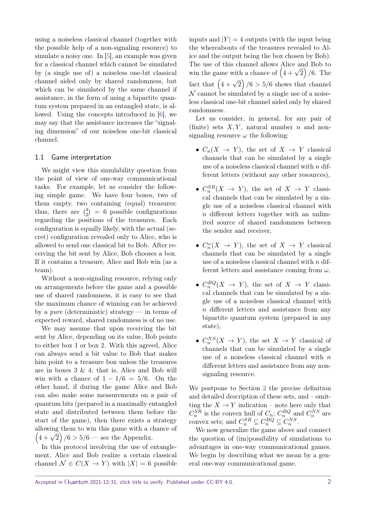using a noiseless classical channel (together with the possible help of a non-signaling resource) to simulate a noisy one. In [\[5\]](#page-8-4), an example was given for a classical channel which cannot be simulated by (a single use of) a noiseless one-bit classical channel aided only by shared randomness, but which can be simulated by the same channel if assistance, in the form of using a bipartite quantum system prepared in an entangled state, is allowed. Using the concepts introduced in [\[6\]](#page-8-7), we may say that the assistance increases the "signaling dimension" of our noiseless one-bit classical channel.

#### 1.1 Game interpretation

We might view this simulability question from the point of view of one-way communicational tasks. For example, let us consider the following simple game. We have four boxes, two of them empty, two containing (equal) treasures; thus, there are  $\binom{4}{2}$  $\binom{4}{2}$  = 6 possible configurations regarding the positions of the treasures. Each configuration is equally likely, with the actual (secret) configuration revealed only to Alice, who is allowed to send one classical bit to Bob. After receiving the bit sent by Alice, Bob chooses a box. If it contains a treasure, Alice and Bob win (as a team).

Without a non-signaling resource, relying only on arrangements before the game and a possible use of shared randomness, it is easy to see that the maximum chance of winning can be achieved by a *pure* (deterministic) strategy — in terms of expected reward, shared randomness is of no use.

We may assume that upon receiving the bit sent by Alice, depending on its value, Bob points to either box 1 or box 2. With this agreed, Alice can always send a bit value to Bob that makes him point to a treasure box unless the treasures are in boxes 3 & 4; that is, Alice and Bob will win with a chance of  $1 - 1/6 = 5/6$ . On the other hand, if during the game Alice and Bob can also make some measurements on a pair of quantum bits (prepared in a maximally entangled state and distributed between them before the start of the game), then there exists a strategy allowing them to win this game with a chance of anowing them to win this game with a c<br> $\left(4+\sqrt{2}\right)/6 > 5/6$  — see the Appendix.

In this protocol involving the use of entanglement, Alice and Bob realize a certain classical channel  $\mathcal{N} \in C(X \to Y)$  with  $|X| = 6$  possible

inputs and  $|Y| = 4$  outputs (with the input being the whereabouts of the treasures revealed to Alice and the output being the box chosen by Bob). The use of this channel allows Alice and Bob to The use of this channel allows Alice and Bob to<br>win the game with a chance of  $(4 + \sqrt{2})/6$ . The fact that  $\left(4+\sqrt{2}\right)/6 > 5/6$  shows that channel  $\mathcal N$  cannot be simulated by a single use of a noiseless classical one-bit channel aided only by shared randomness.

Let us consider, in general, for any pair of (finite) sets  $X, Y$ , natural number  $n$  and nonsignaling resource  $\omega$  the following:

- $C_n(X \to Y)$ , the set of  $X \to Y$  classical channels that can be simulated by a single use of a noiseless classical channel with *n* different letters (without any other resources),
- $C_n^{SR}(X \to Y)$ , the set of  $X \to Y$  classical channels that can be simulated by a single use of a noiseless classical channel with *n* different letters together with an unlimited source of shared randomness between the sender and receiver,
- $C_n^{\omega}(X \to Y)$ , the set of  $X \to Y$  classical channels that can be simulated by a single use of a noiseless classical channel with *n* different letters and assistance coming from *ω*,
- $C_n^{BQ}(X \to Y)$ , the set of  $X \to Y$  classical channels that can be simulated by a single use of a noiseless classical channel with *n* different letters and assistance from any bipartite quantum system (prepared in any state),
- $C_n^{NS}(X \to Y)$ , the set  $X \to Y$  classical of channels that can be simulated by a single use of a noiseless classical channel with *n* different letters and assistance from any nonsignaling resource.

We postpone to Section [2](#page-3-0) the precise definition and detailed description of these sets, and – omitting the  $X \to Y$  indication – note here only that  $C_n^{SR}$  is the convex hull of  $C_n$ ;  $C_n^{BQ}$  and  $C_n^{NS}$  are convex sets; and  $C_n^{SR} \subseteq C_n^{BQ} \subseteq C_n^{NS}$ .

We now generalize the game above and connect the question of (im)possibility of simulations to advantages in one-way communicational games. We begin by describing what we mean by a general one-way communicational game.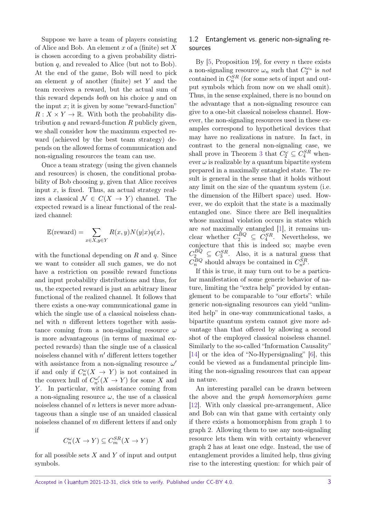Suppose we have a team of players consisting of Alice and Bob. An element *x* of a (finite) set *X* is chosen according to a given probability distribution *q*, and revealed to Alice (but not to Bob). At the end of the game, Bob will need to pick an element *y* of another (finite) set *Y* and the team receives a reward, but the actual sum of this reward depends *both* on his choice *y* and on the input  $x$ ; it is given by some "reward-function"  $R: X \times Y \to \mathbb{R}$ . With both the probability distribution *q* and reward-function *R* publicly given, we shall consider how the maximum expected reward (achieved by the best team strategy) depends on the allowed forms of communication and non-signaling resources the team can use.

Once a team strategy (using the given channels and resources) is chosen, the conditional probability of Bob choosing *y*, given that Alice receives input  $x$ , is fixed. Thus, an actual strategy realizes a classical  $\mathcal{N} \in C(X \rightarrow Y)$  channel. The expected reward is a linear functional of the realized channel:

$$
\mathbb{E}(\text{reward}) = \sum_{x \in X, y \in Y} R(x, y) N(y|x) q(x),
$$

with the functional depending on *R* and *q*. Since we want to consider all such games, we do not have a restriction on possible reward functions and input probability distributions and thus, for us, the expected reward is just an arbitrary linear functional of the realized channel. It follows that there exists a one-way communicational game in which the single use of a classical noiseless channel with *n* different letters together with assistance coming from a non-signaling resource *ω* is more advantageous (in terms of maximal expected rewards) than the single use of a classical noiseless channel with  $n'$  different letters together with assistance from a non-signaling resource  $\omega'$ if and only if  $C_n^{\omega}(X \rightarrow Y)$  is not contained in the convex hull of  $C_{n'}^{\omega'}(X \to Y)$  for some X and *Y* . In particular, with assistance coming from a non-signaling resource  $\omega$ , the use of a classical noiseless channel of *n* letters is never more advantageous than a single use of an unaided classical noiseless channel of *m* different letters if and only if

$$
C_n^{\omega}(X \to Y) \subseteq C_m^{SR}(X \to Y)
$$

for all possible sets *X* and *Y* of input and output symbols.

## 1.2 Entanglement vs. generic non-signaling resources

By [\[5,](#page-8-4) Proposition 19], for every *n* there exists a non-signaling resource  $\omega_n$  such that  $C_2^{\omega_n}$  is *not* contained in  $C_n^{SR}$  (for some sets of input and output symbols which from now on we shall omit). Thus, in the sense explained, there is no bound on the advantage that a non-signaling resource can give to a one-bit classical noiseless channel. However, the non-signaling resources used in these examples correspond to hypothetical devices that may have no realizations in nature. In fact, in contrast to the general non-signaling case, we shall prove in Theorem [3](#page-6-0) that  $C_2^{\omega} \subseteq C_4^{SR}$  whenever  $\omega$  is realizable by a quantum bipartite system prepared in a maximally entangled state. The result is general in the sense that it holds without any limit on the size of the quantum system (i.e. the dimension of the Hilbert space) used. However, we do exploit that the state is a maximally entangled one. Since there are Bell inequalities whose maximal violation occurs in states which are *not* maximally entangled [\[1\]](#page-7-1), it remains unclear whether  $C_2^{BQ} \subseteq C_4^{SR}$ . Nevertheless, we conjecture that this is indeed so; maybe even  $C_2^{BQ} \subseteq C_3^{SR}$ . Also, it is a natural guess that  $C_n^{BQ}$  should always be contained in  $C_{n^2}^{SR}$ .

If this is true, it may turn out to be a particular manifestation of some generic behavior of nature, limiting the "extra help" provided by entanglement to be comparable to "our efforts": while generic non-signaling resources can yield "unlimited help" in one-way communicational tasks, a bipartite quantum system cannot give more advantage than that offered by allowing a second shot of the employed classical noiseless channel. Similarly to the so-called "Information Causality" [\[14\]](#page-8-8) or the idea of "No-Hypersignaling" [\[6\]](#page-8-7), this could be viewed as a fundamental principle limiting the non-signaling resources that can appear in nature.

An interesting parallel can be drawn between the above and the *graph homomorphism game* [\[12\]](#page-8-9). With only classical pre-arrangement, Alice and Bob can win that game with certainty only if there exists a homomorphism from graph 1 to graph 2. Allowing them to use any non-signaling resource lets them win with certainty whenever graph 2 has at least one edge. Instead, the use of entanglement provides a limited help, thus giving rise to the interesting question: for which pair of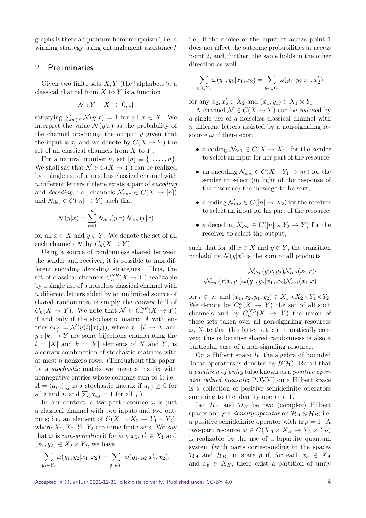graphs is there a "quantum homomorphism", i.e. a winning strategy using entanglement assistance?

# <span id="page-3-0"></span>2 Preliminaries

Given two finite sets *X, Y* (the "alphabets"), a classical channel from *X* to *Y* is a function

$$
\mathcal{N}: Y \times X \to [0,1]
$$

satisfying  $\sum_{y \in Y} \mathcal{N}(y|x) = 1$  for all  $x \in X$ . We interpret the value  $\mathcal{N}(y|x)$  as the probability of the channel producing the output *y* given that the input is *x*, and we denote by  $C(X \to Y)$  the set of all classical channels from *X* to *Y* .

For a natural number *n*, set  $[n] \equiv \{1, \ldots, n\}.$ We shall say that  $\mathcal{N} \in C(X \to Y)$  can be realized by a single use of a noiseless classical channel with *n* different letters if there exists a pair of *encoding* and *decoding*, i.e., channels  $\mathcal{N}_{enc} \in C(X \to [n])$ and  $\mathcal{N}_{dec} \in C([n] \to Y)$  such that

$$
\mathcal{N}(y|x) = \sum_{r=1}^{n} \mathcal{N}_{dec}(y|r) \mathcal{N}_{enc}(r|x)
$$

for all  $x \in X$  and  $y \in Y$ . We denote the set of all such channels  $\mathcal N$  by  $C_n(X \to Y)$ .

Using a source of randomness shared between the sender and receiver, it is possible to mix different encoding–decoding strategies. Thus, the set of classical channels  $C_n^{SR}(X \to Y)$  realizable by a single use of a noiseless classical channel with *n* different letters aided by an unlimited source of shared randomness is simply the convex hull of  $C_n(X \to Y)$ . We note that  $\mathcal{N} \in C_n^{SR}(X \to Y)$ if and only if the stochastic matrix *A* with entries  $a_{i,j} := \mathcal{N}(y(i)|x(j))$ , where  $x : [l] \to X$  and  $y: [k] \to Y$  are some bijections enumerating the  $l = |X|$  and  $k = |Y|$  elements of X and Y, is a convex combination of stochastic matrices with at most *n* nonzero rows. (Throughout this paper, by a *stochastic* matrix we mean a matrix with nonnegative entries whose columns sum to 1; i.e.,  $A = (a_{i,j})_{i,j}$  is a stochastic matrix if  $a_{i,j} \geq 0$  for all *i* and *j*, and  $\sum_{i} a_{i,j} = 1$  for all *j*.)

In our context, a two-part resource  $\omega$  is just a classical channel with two inputs and two outputs; i.e. an element of  $C(X_1 \times X_2 \to Y_1 \times Y_2)$ , where  $X_1, X_2, Y_1, Y_2$  are some finite sets. We say that  $\omega$  is *non-signaling* if for any  $x_1, x_1' \in X_1$  and  $(x_2, y_2) \in X_2 \times Y_2$ , we have

$$
\sum_{y_1 \in Y_1} \omega(y_1, y_2 | x_1, x_2) = \sum_{y_1 \in Y_1} \omega(y_1, y_2 | x_1', x_2),
$$

i.e., if the choice of the input at access point 1 does not affect the outcome probabilities at access point 2, and, further, the same holds in the other direction as well:

$$
\sum_{y_2 \in Y_2} \omega(y_1, y_2 | x_1, x_2) = \sum_{y_2 \in Y_2} \omega(y_1, y_2 | x_1, x_2')
$$

for any  $x_2, x'_2 \in X_2$  and  $(x_1, y_1) \in X_1 \times Y_1$ .

A channel  $\mathcal{N} \in C(X \to Y)$  can be realized by a single use of a noiseless classical channel with *n* different letters assisted by a non-signaling resource  $\omega$  if there exist

- a coding  $\mathcal{N}_{in1} \in C(X \to X_1)$  for the sender to select an input for her part of the resource,
- an encoding  $\mathcal{N}_{enc} \in C(X \times Y_1 \to [n])$  for the sender to select (in light of the response of the resource) the message to be sent,
- a coding  $\mathcal{N}_{in2} \in C([n] \to X_2)$  for the receiver to select an input for his part of the resource,
- a decoding  $\mathcal{N}_{dec} \in C([n] \times Y_2 \to Y)$  for the receiver to select the output,

such that for all  $x \in X$  and  $y \in Y$ , the transition probability  $\mathcal{N}(y|x)$  is the sum of all products

$$
\mathcal{N}_{dec}(y|r, y_2) \mathcal{N}_{in2}(x_2|r) \cdot \mathcal{N}_{enc}(r|x, y_1) \omega(y_1, y_2|x_1, x_2) \mathcal{N}_{in1}(x_1|x)
$$

for  $r \in [n]$  and  $(x_1, x_2, y_1, y_2) \in X_1 \times X_2 \times Y_1 \times Y_2$ . We denote by  $C_n^{\omega}(X \to Y)$  the set of all such channels and by  $C_n^{NS}(X \rightarrow Y)$  the union of these sets taken over all non-signaling resources  $\omega$ . Note that this latter set is automatically convex; this is because shared randomness is also a particular case of a non-signaling resource.

On a Hilbert space  $H$ , the algebra of bounded linear operators is denoted by  $\mathcal{B}(\mathcal{H})$ . Recall that a *partition of unity* (also known as a *positive operator valued measure*; POVM) on a Hilbert space is a collection of positive semidefinite operators summing to the identity operator **1**.

Let  $\mathcal{H}_A$  and  $\mathcal{H}_B$  be two (complex) Hilbert spaces and  $\rho$  a *density operator* on  $\mathcal{H}_A \otimes \mathcal{H}_B$ ; i.e. a positive semidefinite operator with  $tr \rho = 1$ . A two-part resource  $\omega \in C(X_A \times X_B \to Y_A \times Y_B)$ is realizable by the use of a bipartite quantum system (with parts corresponding to the spaces  $\mathcal{H}_A$  and  $\mathcal{H}_B$ ) in state  $\rho$  if, for each  $x_a \in X_A$ and  $x_b \in X_B$ , there exist a partition of unity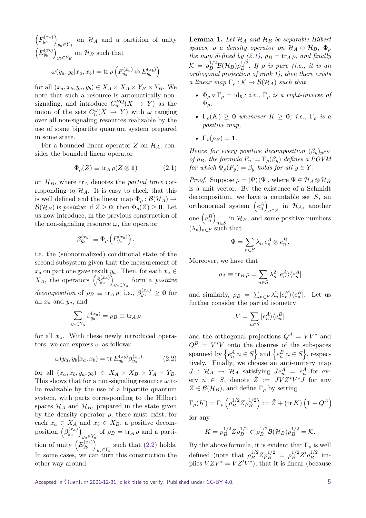$\left(F_{y_a}^{(x_a)}\right)$  $y_a \in Y_A$  on  $\mathcal{H}_A$  and a partition of unity  $(E_{y_b}^{(x_b)})$  $y_b \in Y_B$  on  $\mathcal{H}_B$  such that

$$
\omega(y_a, y_b | x_a, x_b) = \text{tr}\,\rho\left(F_{y_a}^{(x_a)} \otimes E_{y_b}^{(x_b)}\right)
$$

for all  $(x_a, x_b, y_a, y_b) \in X_A \times X_A \times Y_B \times Y_B$ . We note that such a resource is automatically nonsignaling, and introduce  $C_n^{BQ}(X \to Y)$  as the union of the sets  $C_n^{\omega}(X \to Y)$  with  $\omega$  ranging over all non-signaling resources realizable by the use of some bipartite quantum system prepared in some state.

For a bounded linear operator  $Z$  on  $\mathcal{H}_A$ , consider the bounded linear operator

<span id="page-4-1"></span>
$$
\Phi_{\rho}(Z) \equiv \text{tr}_A \,\rho(Z \otimes \mathbf{1}) \tag{2.1}
$$

on  $\mathcal{H}_B$ , where  $\text{tr}_A$  denotes the *partial trace* corresponding to  $\mathcal{H}_A$ . It is easy to check that this is well defined and the linear map  $\Phi_{\rho} : \mathcal{B}(\mathcal{H}_{A}) \rightarrow$  $\mathcal{B}(\mathcal{H}_B)$  is *positive*: if  $Z \geq 0$ , then  $\Phi_o(Z) \geq 0$ . Let us now introduce, in the previous construction of the non-signaling resource  $\omega$ , the operator

$$
\beta_{y_a}^{(x_a)} \equiv \Phi_\rho \left( F_{y_a}^{(x_a)} \right),
$$

i.e. the (subnormalized) conditional state of the second subsystem given that the measurement of *x*<sup>*a*</sup> on part one gave result *y*<sup>*a*</sup>. Then, for each *x*<sup>*a*</sup> ∈ *X*<sub>*A*</sub>, the operators  $(\beta_{y_a}^{(x_a)})$  $y_a \in Y_a$  form a *positive decomposition* of  $\rho_B \equiv \text{tr}_A \rho$ ; i.e.,  $\beta_{y_a}^{(x_a)} \geq \mathbf{0}$  for all  $x_a$  and  $y_a$ , and

$$
\sum_{y_a \in Y_a} \beta_{y_a}^{(x_a)} = \rho_B \equiv \text{tr}_A \,\rho
$$

for all *xa*. With these newly introduced operators, we can express  $\omega$  as follows:

<span id="page-4-0"></span>
$$
\omega(y_a, y_b | x_a, x_b) = \text{tr } E_{y_b}^{(x_b)} \beta_{y_a}^{(x_a)} \tag{2.2}
$$

for all  $(x_a, x_b, y_a, y_b) \in X_A \times X_B \times Y_A \times Y_B$ . This shows that for a non-signaling resource *ω* to be realizable by the use of a bipartite quantum system, with parts corresponding to the Hilbert spaces  $\mathcal{H}_A$  and  $\mathcal{H}_B$ , prepared in the state given by the density operator  $\rho$ , there must exist, for each  $x_a \in X_A$  and  $x_b \in X_B$ , a positive decomposition  $(\beta_{y_a}^{(x_a)})$  $y_a \in Y_a$  of  $\rho_B = \text{tr}_A \rho$  and a partition of unity  $(E_{y_b}^{(x_b)})$  $y_b \in Y_b$  such that [\(2.2\)](#page-4-0) holds. In some cases, we can turn this construction the other way around.

<span id="page-4-2"></span>**Lemma 1.** Let  $\mathcal{H}_A$  and  $\mathcal{H}_B$  be separable Hilbert *spaces,*  $\rho$  *a density operator on*  $\mathcal{H}_A \otimes \mathcal{H}_B$ ,  $\Phi_\rho$ *the map defined by [\(2.1\)](#page-4-1),*  $\rho_B = \text{tr}_A \rho$ *, and finally*  $\mathcal{K} \, = \, \rho_B^{1/2} \mathcal{B}(\mathcal{H}_B) \rho_B^{1/2}$  $\int_B^{1/2}$ . If  $\rho$  *is pure (i.e., it is an orthogonal projection of rank 1), then there exists a linear map*  $\Gamma_{\rho}: \mathcal{K} \to \mathcal{B}(\mathcal{H}_{A})$  *such that* 

- **•**  $\Phi_{\rho} \circ \Gamma_{\rho} = id_{\mathcal{K}}$ *; i.e.,*  $\Gamma_{\rho}$  *is a right-inverse of* Φ*ρ,*
- $\Gamma_{\rho}(K) \geq 0$  *whenever*  $K \geq 0$ *; i.e.,*  $\Gamma_{\rho}$  *is a positive map,*
- $\Gamma_{\rho}(\rho_B) = 1$ *.*

*Hence for every positive decomposition*  $(\beta_y)_{y \in Y}$ *of*  $\rho_B$ *, the formula*  $F_y := \Gamma_\rho(\beta_y)$  *defines a POVM for which*  $\Phi_{\rho}(F_y) = \beta_y$  *holds for all*  $y \in Y$ .

*Proof.* Suppose  $\rho = |\Psi\rangle \langle \Psi|$ , where  $\Psi \in \mathcal{H}_A \otimes \mathcal{H}_B$ is a unit vector. By the existence of a Schmidt decomposition, we have a countable set *S*, an orthonormal system  $(e_n^A)$  $n \in S$  in  $\mathcal{H}_A$ , another one  $\left(e_n^B\right)$  $n \in S$  in  $\mathcal{H}_B$ , and some positive numbers  $(\lambda_n)_{n \in S}$  such that

$$
\Psi = \sum_{n \in S} \lambda_n e_n^A \otimes e_n^B.
$$

Moreover, we have that

$$
\rho_A \equiv \operatorname{tr}_B \rho = \sum_{n \in S} \lambda_n^2 |e_n^A\rangle\langle e_n^A|
$$

and similarly,  $\rho_B = \sum_{n \in S} \lambda_n^2 |e_n^B\rangle\langle e_n^B|$ . Let us further consider the partial isometry

$$
V=\sum_{n\in S}|e_{n}^{A}\rangle\langle e_{n}^{B}|
$$

and the orthogonal projections  $Q^A = V V^*$  and  $Q^B = V^*V$  onto the closures of the subspaces spanned by  $\{e_n^A|n \in S\}$  and  $\{e_n^B|n \in S\}$ , respectively. Finally, we choose an anti-unitary map  $J: \mathcal{H}_A \rightarrow \mathcal{H}_A$  satisfying  $Je_n^A = e_n^A$  for every  $n \in S$ , denote  $\tilde{Z} := JVZ^*V^*J$  for any  $Z \in \mathcal{B}(\mathcal{H}_B)$ , and define  $\Gamma_\rho$  by setting

$$
\Gamma_{\rho}(K) = \Gamma_{\rho}\left(\rho_B^{1/2} Z \rho_B^{1/2}\right) := \tilde{Z} + (\text{tr}\,K)\left(\mathbf{1} - Q^A\right)
$$

for any

$$
K = \rho_B^{1/2} Z \rho_B^{1/2} \in \rho_B^{1/2} \mathcal{B}(\mathcal{H}_B) \rho_B^{1/2} = \mathcal{K}.
$$

By the above formula, it is evident that  $\Gamma_\rho$  is well defined (note that  $\rho_B^{1/2} Z \rho_B^{1/2} = \rho_B^{1/2} Z' \rho_B^{1/2}$  $\frac{1}{B}$ <sup>1/2</sup> implies  $VZV^* = VZ'V^*$ , that it is linear (because

Accepted in  $\lambda$ uantum 2021-12-31, click title to verify. Published under CC-BY 4.0. 5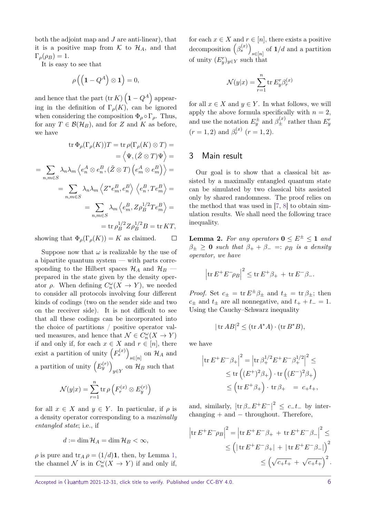both the adjoint map and *J* are anti-linear), that it is a positive map from  $K$  to  $\mathcal{H}_A$ , and that  $\Gamma_{\rho}(\rho_B) = 1.$ 

It is easy to see that

$$
\rho\left(\left(\mathbf{1}-Q^A\right)\otimes\mathbf{1}\right)=0,
$$

and hence that the part  $(\text{tr } K)$   $(1 - Q^A)$  appearing in the definition of  $\Gamma_{\rho}(K)$ , can be ignored when considering the composition  $\Phi_{\rho} \circ \Gamma_{\rho}$ . Thus, for any  $T \in \mathcal{B}(\mathcal{H}_B)$ , and for *Z* and *K* as before, we have

$$
\operatorname{tr} \Phi_{\rho}(\Gamma_{\rho}(K))T = \operatorname{tr} \rho(\Gamma_{\rho}(K) \otimes T) =
$$
  
\n
$$
= \left\langle \Psi, (\tilde{Z} \otimes T)\Psi \right\rangle =
$$
  
\n
$$
= \sum_{n,m \in S} \lambda_n \lambda_m \left\langle e_n^A \otimes e_n^B, (\tilde{Z} \otimes T) \left( e_m^A \otimes e_m^B \right) \right\rangle =
$$
  
\n
$$
= \sum_{n,m \in S} \lambda_n \lambda_m \left\langle Z^* e_m^B, e_n^B \right\rangle \left\langle e_n^B, T e_m^B \right\rangle =
$$
  
\n
$$
= \sum_{n,m \in S} \lambda_m \left\langle e_m^B, Z \rho_B^{1/2} T e_m^B \right\rangle =
$$
  
\n
$$
= \operatorname{tr} \rho_B^{1/2} Z \rho_B^{1/2} B = \operatorname{tr} KT,
$$

showing that  $\Phi_{\rho}(\Gamma_{\rho}(K)) = K$  as claimed.  $\Box$ 

Suppose now that  $\omega$  is realizable by the use of a bipartite quantum system — with parts corresponding to the Hilbert spaces  $\mathcal{H}_A$  and  $\mathcal{H}_B$  – prepared in the state given by the density operator  $\rho$ . When defining  $C_n^{\omega}(X \to Y)$ , we needed to consider all protocols involving four different kinds of codings (two on the sender side and two on the receiver side). It is not difficult to see that all these codings can be incorporated into the choice of partitions / positive operator valued measures, and hence that  $\mathcal{N} \in C_n^{\omega}(X \to Y)$ if and only if, for each  $x \in X$  and  $r \in [n]$ , there exist a partition of unity  $(F_s^{(x)})$  $s\in[n]$  on  $\mathcal{H}_A$  and a partition of unity  $(E_y^{(r)})$  $y \in Y$  on  $\mathcal{H}_B$  such that

$$
\mathcal{N}(y|x) = \sum_{r=1}^{n} \operatorname{tr} \rho \left( F_r^{(x)} \otimes E_y^{(r)} \right)
$$

for all  $x \in X$  and  $y \in Y$ . In particular, if  $\rho$  is a density operator corresponding to a *maximally entangled state*; i.e., if

$$
d := \dim \mathcal{H}_A = \dim \mathcal{H}_B < \infty,
$$

 $\rho$  is pure and tr<sub>*A*</sub>  $\rho = (1/d)\mathbf{1}$ , then, by Lemma [1,](#page-4-2) the channel  $\mathcal N$  is in  $C_n^{\omega}(X \to Y)$  if and only if, for each  $x \in X$  and  $r \in [n]$ , there exists a positive decomposition  $(\beta_s^{(x)})$  $s \in [n]$  of **1**/*d* and a partition of unity  $(E_y^r)_{y \in Y}$  such that

$$
\mathcal{N}(y|x) = \sum_{r=1}^{n} \text{tr } E_y^r \beta_r^{(x)}
$$

for all  $x \in X$  and  $y \in Y$ . In what follows, we will apply the above formula specifically with  $n = 2$ , and use the notation  $E_y^{\pm}$  and  $\beta_{\pm}^{(x)}$  rather than  $E_y^r$  $(r = 1, 2)$  and  $\beta_r^{(x)}$   $(r = 1, 2)$ .

### 3 Main result

Our goal is to show that a classical bit assisted by a maximally entangled quantum state can be simulated by two classical bits assisted only by shared randomness. The proof relies on the method that was used in [\[7,](#page-8-10) [8\]](#page-8-11) to obtain simulation results. We shall need the following trace inequality.

<span id="page-5-1"></span>**Lemma 2.** For any operators  $0 \leq E^{\pm} \leq 1$  and  $\beta_{\pm} \geq 0$  *such that*  $\beta_{+} + \beta_{-} =: \rho_{B}$  *is a density operator, we have*

$$
\left|\text{tr}\,E^+E^-\rho_B\right|^2\leq\text{tr}\,E^+\beta_+\,+\,\text{tr}\,E^-\beta_-.
$$

*Proof.* Set  $c_{\pm} = \text{tr } E^{\pm} \beta_{\pm}$  and  $t_{\pm} = \text{tr } \beta_{\pm}$ ; then  $c_{\pm}$  and  $t_{\pm}$  are all nonnegative, and  $t_{+} + t_{-} = 1$ . Using the Cauchy–Schwarz inequality

$$
|\operatorname{tr} AB|^2 \le (\operatorname{tr} A^*A) \cdot (\operatorname{tr} B^*B),
$$

we have

<span id="page-5-0"></span>
$$
\left|\operatorname{tr} E^{+} E^{-} \beta_{+}\right|^{2} = \left|\operatorname{tr} \beta_{+}^{1/2} E^{+} E^{-} \beta_{+}^{1/2}\right|^{2} \le
$$
  

$$
\leq \operatorname{tr}\left( (E^{+})^{2} \beta_{+}\right) \cdot \operatorname{tr}\left( (E^{-})^{2} \beta_{+}\right)
$$
  

$$
\leq \left( \operatorname{tr} E^{+} \beta_{+}\right) \cdot \operatorname{tr} \beta_{+} = c_{+} t_{+},
$$

and, similarly,  $|\text{tr } \beta_{-}E^{+}E^{-}|^{2} \leq c_{-}t_{-}$  by inter $changing + and - throughout. Therefore,$ 

$$
\left| \text{tr} \, E^+ E^- \rho_B \right|^2 = \left| \text{tr} \, E^+ E^- \beta_+ + \text{tr} \, E^+ E^- \beta_- \right|^2 \le
$$
  

$$
\le \left( |\text{tr} \, E^+ E^- \beta_+ | + |\text{tr} \, E^+ E^- \beta_-| \right)^2
$$
  

$$
\le \left( \sqrt{c_+ t_+} + \sqrt{c_+ t_+} \right)^2.
$$

Accepted in  $\lambda$ uantum 2021-12-31, click title to verify. Published under CC-BY 4.0.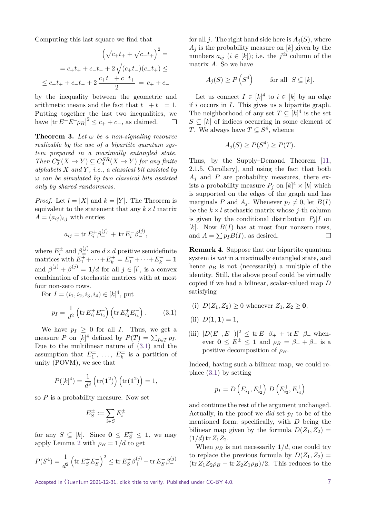Computing this last square we find that

$$
\left(\sqrt{c_{+}t_{+}} + \sqrt{c_{+}t_{+}}\right)^{2} =
$$
\n
$$
= c_{+}t_{+} + c_{-}t_{-} + 2\sqrt{(c_{+}t_{-})(c_{-}t_{+})} \le
$$
\n
$$
\leq c_{+}t_{+} + c_{-}t_{-} + 2\frac{c_{+}t_{-} + c_{-}t_{+}}{2} = c_{+} + c_{-}
$$

by the inequality between the geometric and arithmetic means and the fact that  $t_{+} + t_{-} = 1$ . Putting together the last two inequalities, we have  $|\text{tr } E^+E^- \rho_B|^2 \leq c_+ + c_-$ , as claimed.

<span id="page-6-0"></span>**Theorem 3.** Let  $\omega$  be a non-signaling resource *realizable by the use of a bipartite quantum system prepared in a maximally entangled state. Then*  $C_2^{\omega}(X \to Y) \subseteq C_4^{SR}(X \to Y)$  *for any finite alphabets X and Y , i.e., a classical bit assisted by ω can be simulated by two classical bits assisted only by shared randomness.*

*Proof.* Let  $l = |X|$  and  $k = |Y|$ . The Theorem is equivalent to the statement that any  $k \times l$  matrix  $A = (a_{ij})_{i,j}$  with entries

$$
a_{ij} = \text{tr} E_i^+ \beta_+^{(j)} + \text{tr} E_i^- \beta_-^{(j)},
$$

where  $E_i^{\pm}$  and  $\beta_{\pm}^{(j)}$  are  $d \times d$  positive semidefinite matrices with  $E_1^+ + \cdots + E_k^+ = E_1^- + \cdots + E_k^- = \mathbf{1}$ and  $\beta_{+}^{(j)} + \beta_{-}^{(j)} = 1/d$  for all  $j \in [l]$ , is a convex combination of stochastic matrices with at most four non-zero rows.

For  $I = (i_1, i_2, i_3, i_4) \in [k]^4$ , put  $p_I = \frac{1}{I}$ *d* 2  $\left(\text{tr } E_{i_1}^+ E_{i_2}^- \right) \left(\text{tr } E_{i_3}^+ E_{i_4}^- \right)$ *.* (3.1)

We have  $p_I \geq 0$  for all *I*. Thus, we get a measure *P* on  $[k]^4$  defined by  $P(T) = \sum_{I \in T} p_I$ . Due to the multilinear nature of [\(3.1\)](#page-5-0) and the assumption that  $E_1^{\pm}, \ldots, E_k^{\pm}$  $\mathbf{r}_k^{\pm}$  is a partition of unity (POVM), we see that

$$
P([k]^4) = \frac{1}{d^2} (tr(\mathbf{1}^2)) (tr(\mathbf{1}^2)) = 1,
$$

so *P* is a probability measure. Now set

$$
E_S^\pm:=\sum_{i\in S}E_i^\pm
$$

for any  $S \subseteq [k]$ . Since  $\mathbf{0} \le E_S^{\pm} \le \mathbf{1}$ , we may apply Lemma [2](#page-5-1) with  $\rho_B = 1/d$  to get

$$
P(S^4) = \frac{1}{d^2} \left( \text{tr} \, E_S^+ E_S^- \right)^2 \le \text{tr} \, E_S^+ \beta_+^{(j)} + \text{tr} \, E_S^- \beta_-^{(j)}
$$

for all *j*. The right hand side here is  $A_i(S)$ , where  $A_i$  is the probability measure on  $[k]$  given by the numbers  $a_{ij}$  ( $i \in [k]$ ); i.e. the  $j^{\text{th}}$  column of the matrix *A*. So we have

$$
A_j(S) \ge P\left(S^4\right) \qquad \text{for all } S \subseteq [k].
$$

Let us connect  $I \in [k]^4$  to  $i \in [k]$  by an edge if *i* occurs in *I*. This gives us a bipartite graph. The neighborhood of any set  $T \subseteq [k]^4$  is the set  $S \subseteq [k]$  of indices occurring in some element of *T*. We always have  $T \subseteq S^4$ , whence

$$
A_j(S) \ge P(S^4) \ge P(T).
$$

Thus, by the Supply–Demand Theorem [\[11,](#page-8-12) 2.1.5. Corollary], and using the fact that both  $A_j$  and  $P$  are probability measures, there exists a probability measure  $P_j$  on  $[k]^4 \times [k]$  which is supported on the edges of the graph and has marginals *P* and  $A_j$ . Whenever  $p_I \neq 0$ , let  $B(I)$ be the  $k \times l$  stochastic matrix whose *j*-th column is given by the conditional distribution  $P_i|I$  on [k]. Now  $B(I)$  has at most four nonzero rows, and  $A = \sum p_I B(I)$ , as desired.  $\Box$ 

**Remark 4.** Suppose that our bipartite quantum system is *not* in a maximally entangled state, and hence  $\rho_B$  is not (necessarily) a multiple of the identity. Still, the above proof could be virtually copied if we had a bilinear, scalar-valued map *D* satisfying

- (i)  $D(Z_1, Z_2) \geq 0$  whenever  $Z_1, Z_2 \geq 0$ ,
- (ii)  $D(1, 1) = 1$ ,
- (iii)  $|D(E^+, E^-)|^2 \le \text{tr } E^+ \beta_+ + \text{tr } E^- \beta_-$  whenever  $0 \leq E^{\pm} \leq 1$  and  $\rho_B = \beta_+ + \beta_-$  is a positive decomposition of *ρB*.

Indeed, having such a bilinear map, we could replace [\(3.1\)](#page-5-0) by setting

$$
p_I = D\left(E_{i_1}^+, E_{i_2}^+\right) D\left(E_{i_3}^+, E_{i_4}^+\right)
$$

and continue the rest of the argument unchanged. Actually, in the proof we *did* set  $p_I$  to be of the mentioned form; specifically, with *D* being the bilinear map given by the formula  $D(Z_1, Z_2)$  $(1/d)$  tr  $Z_1Z_2$ .

When  $\rho_B$  is not necessarily  $1/d$ , one could try to replace the previous formula by  $D(Z_1, Z_2)$  =  $(\text{tr }Z_1Z_2\rho_B + \text{tr }Z_2Z_1\rho_B)/2$ . This reduces to the

Accepted in  $\langle \lambda$ uantum 2021-12-31, click title to verify. Published under CC-BY 4.0.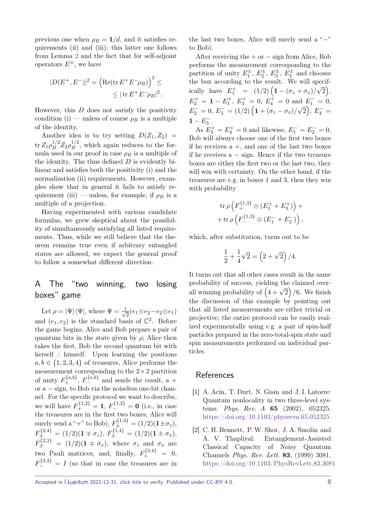previous one when  $\rho_B = 1/d$ , and it satisfies requirements (ii) and (iii); this latter one follows from Lemma [2](#page-5-1) and the fact that for self-adjoint operators  $E^{\pm}$ , we have

$$
|D(E^+, E^-)|^2 = \left(\text{Re}(\text{tr } E^+ E^- \rho_B)\right)^2 \le
$$
  

$$
\le |\text{tr } E^+ E^- \rho_B|^2.
$$

However, this *D* does not satisfy the positivity condition (i) — unless of course  $\rho_B$  is a multiple of the identity.

Another idea is to try setting  $D(Z_1, Z_2)$  =  $\mathrm{tr}\, Z_1 \rho_B^{1/2} Z_2 \rho_B^{1/2}$  $B^{\frac{1}{2}}$ , which again reduces to the formula used in our proof in case  $\rho_B$  is a multiple of the identity. The thus defined *D* is evidently bilinear and satisfies both the positivity (i) and the normalization (ii) requirements. However, examples show that in general it fails to satisfy requirement (iii) — unless, for example, if  $\rho_B$  is a multiple of a projection.

Having experimented with various candidate formulas, we grew skeptical about the possibility of simultaneously satisfying all listed requirements. Thus, while we still believe that the theorem remains true even if arbitrary entangled states are allowed, we expect the general proof to follow a somewhat different direction.

# A The "two winning, two losing boxes" game

Let  $\rho = |\Psi\rangle\langle\Psi|$ , where  $\Psi = \frac{1}{\sqrt{2}}$ 2 (*e*1⊗*e*2−*e*2⊗*e*1) and  $(e_1, e_2)$  is the standard basis of  $\mathbb{C}^2$ . Before the game begins, Alice and Bob prepare a pair of quantum bits in the state given by  $\rho$ ; Alice then takes the first, Bob the second quantum bit with herself / himself. Upon learning the positions  $a, b \in \{1, 2, 3, 4\}$  of treasures, Alice performs the measurement corresponding to the  $2 \times 2$  partition of unity  $F_+^{\{a,b\}}$ ,  $F_-^{\{a,b\}}$  and sends the result, a + or a − sign, to Bob via the noiseless one-bit channel. For the specific protocol we want to describe, we will have  $F_+^{\{1,2\}} = 1$ ,  $F_-^{\{1,2\}} = 0$  (i.e., in case the treasures are in the first two boxes, Alice will surely send a "+" to Bob),  $F_{\pm}^{(1,3)} = (1/2)(1 \pm \sigma_z)$ ,  $F_{\pm}^{\{2,4\}} = (1/2)(\mathbf{1} \mp \sigma_z),\ F_{\pm}^{\{1,4\}} = (1/2)(\mathbf{1} \pm \sigma_x),$  $F_{\pm}^{\{2,3\}} = (1/2)(1 \mp \sigma_x)$ , where  $\sigma_z$  and  $\sigma_x$  are two Pauli matrices, and, finally,  $F_+^{\{3,4\}} = 0$ ,  $F_{-}^{\{3,4\}} = I$  (so that in case the treasures are in

Accepted in  $\lambda$ uantum 2021-12-31, click title to verify. Published under CC-BY 4.0.

the last two boxes, Alice will surely send a " $-$ " to Bob).

After receiving the  $+$  or  $-$  sign from Alice, Bob performs the measurement corresponding to the partition of unity  $E_1^{\pm}$ ,  $E_2^{\pm}$ ,  $E_3^{\pm}$ ,  $E_4^{\pm}$  and chooses the box according to the result. We will specifically have  $E_1^+ = (1/2) (1 - (\sigma_z + \sigma_x))$ P⊂<br>∷  $\overline{2}\big),$  $E_2^+ = 1 - E_1^+, E_3^+ = 0, E_4^+ = 0 \text{ and } E_1^- = 0,$  $E_2^- = 0, E_3^- = (1/2) \left( 1 + (\sigma_z - \sigma_x)/\sqrt{2} \right), E_4^- =$  $1 - E_3^-$ .

As  $E_3^+ = E_4^+ = 0$  and likewise,  $E_1^- = E_2^- = 0$ , Bob will always choose one of the first two boxes if he receives  $a +$ , and one of the last two boxes if he receives  $a - sign$ . Hence if the two treasure boxes are either the first two or the last two, they will win with certainty. On the other hand, if the treasures are e.g. in boxes 1 and 3, then they win with probability

$$
\operatorname{tr}\rho\left(F_+^{\{1,3\}}\otimes (E_1^+ + E_3^+)\right) + \n+ \operatorname{tr}\rho\left(F_-^{\{1,3\}}\otimes (E_1^- + E_3^-)\right),
$$

which, after substitution, turns out to be

$$
\frac{1}{2} + \frac{1}{4}\sqrt{2} = (2 + \sqrt{2})/4.
$$

It turns out that all other cases result in the same probability of success, yielding the claimed overprobability of success, yierally the claimed over-<br>all winning probability of  $(4 + \sqrt{2})/6$ . We finish the discussion of this example by pointing out that all listed measurements are either trivial or projective; the entire protocol can be easily realized experimentally using e.g. a pair of spin-half particles prepared in the zero-total-spin state and spin measurements performed on individual particles.

# **References**

- <span id="page-7-1"></span>[1] A. Acín, T. Durt, N. Gisin and J. I. Latorre: Quantum nonlocality in two three-level systems. *Phys. Rev. A* **65** (2002), 052325. <https://doi.org/10.1103/physreva.65.052325>
- <span id="page-7-0"></span>[2] C. H. Bennett, P. W. Shor, J. A. Smolin and A. V. Thapliyal: Entanglement-Assisted Classical Capacity of Noisy Quantum Channels *Phys. Rev. Lett.* **83**, (1999) 3081. <https://doi.org/10.1103/PhysRevLett.83.3081>